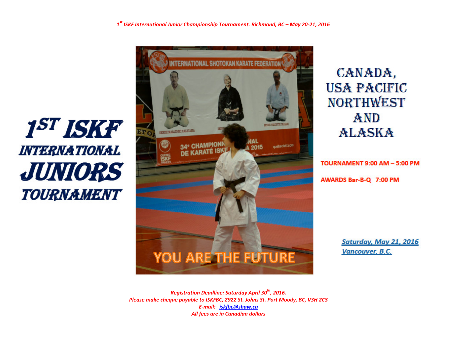# 1<sup>ST</sup> ISKF **INTERNATIONAL** JUNIORS **TOURNAMENT**



CANADA, **USA PACIFIC NORTHWEST** AND **ALASKA** 

TOURNAMENT 9:00 AM - 5:00 PM AWARDS Bar-B-Q 7:00 PM

> Saturday, May 21, 2016 **Vancouver, B.C.**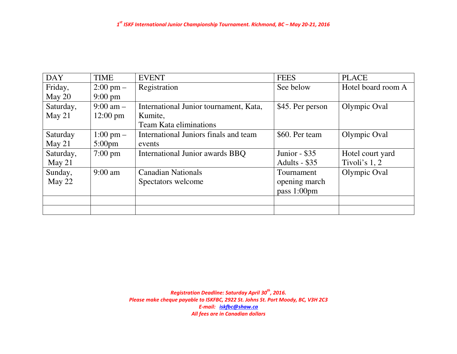| <b>DAY</b> | <b>TIME</b>         | <b>EVENT</b>                           | <b>FEES</b>      | <b>PLACE</b>       |
|------------|---------------------|----------------------------------------|------------------|--------------------|
| Friday,    | $2:00 \text{ pm} -$ | Registration                           | See below        | Hotel board room A |
| May $20$   | $9:00 \text{ pm}$   |                                        |                  |                    |
| Saturday,  | $9:00 \text{ am} -$ | International Junior tournament, Kata, | \$45. Per person | Olympic Oval       |
| May $21$   | $12:00 \text{ pm}$  | Kumite,                                |                  |                    |
|            |                     | <b>Team Kata eliminations</b>          |                  |                    |
| Saturday   | $1:00 \text{ pm} -$ | International Juniors finals and team  | \$60. Per team   | Olympic Oval       |
| May $21$   | $5:00 \text{pm}$    | events                                 |                  |                    |
| Saturday,  | $7:00 \text{ pm}$   | International Junior awards BBQ        | Junior - $$35$   | Hotel court yard   |
| May $21$   |                     |                                        | Adults - $$35$   | Tivoli's $1, 2$    |
| Sunday,    | $9:00$ am           | <b>Canadian Nationals</b>              | Tournament       | Olympic Oval       |
| May 22     |                     | Spectators welcome                     | opening march    |                    |
|            |                     |                                        | pass 1:00pm      |                    |
|            |                     |                                        |                  |                    |
|            |                     |                                        |                  |                    |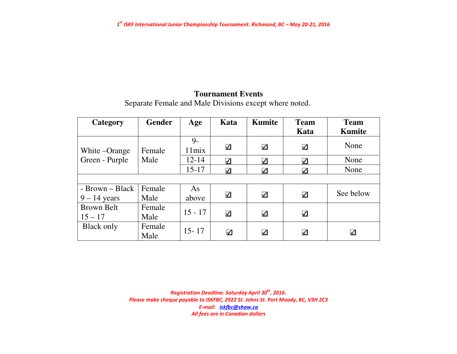# **Tournament Events**

Separate Female and Male Divisions except where noted.

| Category          | <b>Gender</b>  | Age                     | Kata                 | <b>Kumite</b> | <b>Team</b> | <b>Team</b>   |
|-------------------|----------------|-------------------------|----------------------|---------------|-------------|---------------|
|                   |                |                         |                      |               | Kata        | <b>Kumite</b> |
| White – Orange    | Female         | $9 -$<br>$11\text{mix}$ | $\blacktriangleleft$ | ⊻             | ⊻           | None          |
| Green - Purple    | Male           | $12 - 14$               | ✓                    | ⊻             | ⊻           | None          |
|                   |                | $15 - 17$               | ✓                    | ⊻             | ⊻           | None          |
|                   |                |                         |                      |               |             |               |
| - Brown – Black   | Female         | As                      |                      |               |             | See below     |
| $9 - 14$ years    | Male           | above                   | $\blacktriangleleft$ | ⊻             | ⊻           |               |
| <b>Brown Belt</b> | Female         | $15 - 17$               |                      |               |             |               |
| $15 - 17$         | Male           |                         | $\blacktriangleleft$ | ⊻             | ⊻           |               |
| <b>Black only</b> | Female<br>Male | $15 - 17$               | $\blacktriangledown$ | ⊻             | ⊻           | ⊻             |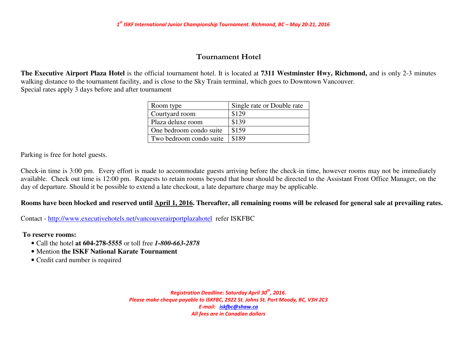## Tournament Hotel

**The Executive Airport Plaza Hotel** is the official tournament hotel. It is located at **7311 Westminster Hwy, Richmond,** and is only 2-3 minutes walking distance to the tournament facility, and is close to the Sky Train terminal, which goes to Downtown Vancouver. Special rates apply 3 days before and after tournament

| Room type               | Single rate or Double rate |
|-------------------------|----------------------------|
| Courtyard room          | \$129                      |
| Plaza deluxe room       | \$139                      |
| One bedroom condo suite | \$159                      |
| Two bedroom condo suite | \$189                      |

Parking is free for hotel guests.

Check-in time is 3:00 pm. Every effort is made to accommodate guests arriving before the check-in time, however rooms may not be immediately available. Check out time is 12:00 pm. Requests to retain rooms beyond that hour should be directed to the Assistant Front Office Manager, on the day of departure. Should it be possible to extend a late checkout, a late departure charge may be applicable.

#### **Rooms have been blocked and reserved until April 1, 2016. Thereafter, all remaining rooms will be released for general sale at prevailing rates.**

Contact - http://www.executivehotels.net/vancouverairportplazahotel refer ISKFBC

 **To reserve rooms:** 

- Call the hotel **at 604-278-5555** or toll free *1-800-663-2878*
- Mention **the ISKF National Karate Tournament**
- Credit card number is required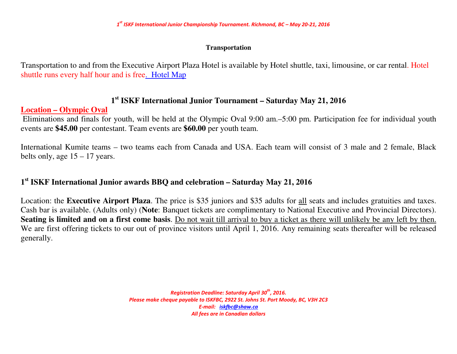## **Transportation**

Transportation to and from the Executive Airport Plaza Hotel is available by Hotel shuttle, taxi, limousine, or car rental. Hotel shuttle runs every half hour and is free. Hotel Map

# **1st ISKF International Junior Tournament – Saturday May 21, 2016**

# **Location – Olympic Oval**

 Eliminations and finals for youth, will be held at the Olympic Oval 9:00 am.–5:00 pm. Participation fee for individual youth events are **\$45.00** per contestant. Team events are **\$60.00** per youth team.

International Kumite teams – two teams each from Canada and USA. Each team will consist of 3 male and 2 female, Black belts only, age  $15 - 17$  years.

# **1st ISKF International Junior awards BBQ and celebration – Saturday May 21, 2016**

Location: the **Executive Airport Plaza**. The price is \$35 juniors and \$35 adults for all seats and includes gratuities and taxes. Cash bar is available. (Adults only) (**Note**: Banquet tickets are complimentary to National Executive and Provincial Directors). **Seating is limited and on a first come basis**. Do not wait till arrival to buy a ticket as there will unlikely be any left by then. We are first offering tickets to our out of province visitors until April 1, 2016. Any remaining seats thereafter will be released generally.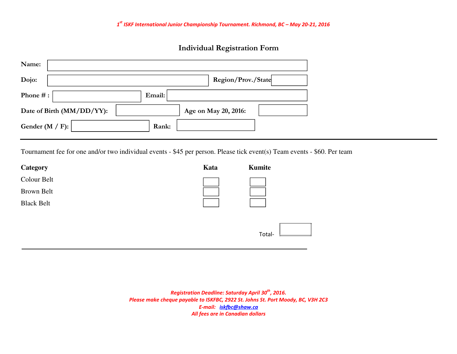# Individual Registration Form

| Name:                     |                      |
|---------------------------|----------------------|
| Dojo:                     | Region/Prov./State   |
| Phone #:                  | Email:               |
| Date of Birth (MM/DD/YY): | Age on May 20, 2016: |
| Gender (M / F):           | Rank:                |

Tournament fee for one and/or two individual events - \$45 per person. Please tick event(s) Team events - \$60. Per team

| Category          | Kata | Kumite |
|-------------------|------|--------|
| Colour Belt       |      |        |
| Brown Belt        |      |        |
| <b>Black Belt</b> |      |        |
|                   |      |        |
|                   |      | Total- |
|                   |      |        |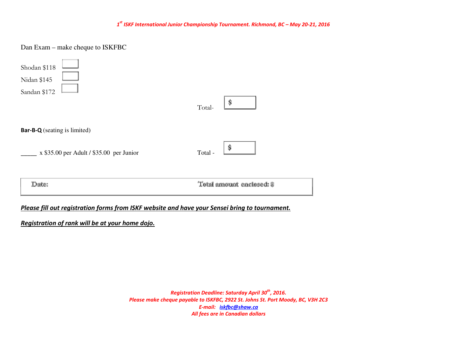Dan Exam – make cheque to ISKFBC

| <b>Bar-B-Q</b> (seating is limited)        | Ŝ                         |  |
|--------------------------------------------|---------------------------|--|
| $x$ \$35.00 per Adult / \$35.00 per Junior | Total -                   |  |
|                                            | Total amount enclosed: \$ |  |

Please fill out registration forms from ISKF website and have your Sensei bring to tournament.

Registration of rank will be at your home dojo.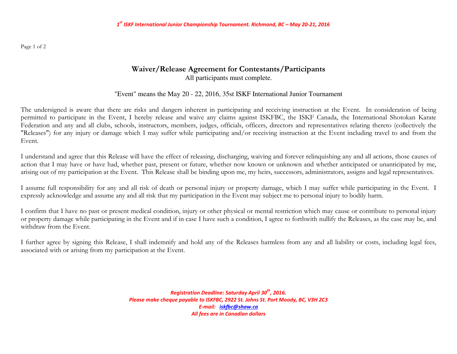Page 1 of 2

## Waiver/Release Agreement for Contestants/Participants All participants must complete.

## "Event" means the May 20 - 22, 2016, 35st ISKF International Junior Tournament

The undersigned is aware that there are risks and dangers inherent in participating and receiving instruction at the Event. In consideration of being permitted to participate in the Event, I hereby release and waive any claims against ISKFBC, the ISKF Canada, the International Shotokan Karate Federation and any and all clubs, schools, instructors, members, judges, officials, officers, directors and representatives relating thereto (collectively the "Releases") for any injury or damage which I may suffer while participating and/or receiving instruction at the Event including travel to and from the Event.

I understand and agree that this Release will have the effect of releasing, discharging, waiving and forever relinquishing any and all actions, those causes of action that I may have or have had, whether past, present or future, whether now known or unknown and whether anticipated or unanticipated by me, arising out of my participation at the Event. This Release shall be binding upon me, my heirs, successors, administrators, assigns and legal representatives.

I assume full responsibility for any and all risk of death or personal injury or property damage, which I may suffer while participating in the Event. Iexpressly acknowledge and assume any and all risk that my participation in the Event may subject me to personal injury to bodily harm.

I confirm that I have no past or present medical condition, injury or other physical or mental restriction which may cause or contribute to personal injury or property damage while participating in the Event and if in case I have such a condition, I agree to forthwith nullify the Releases, as the case may be, and withdraw from the Event.

I further agree by signing this Release, I shall indemnify and hold any of the Releases harmless from any and all liability or costs, including legal fees, associated with or arising from my participation at the Event.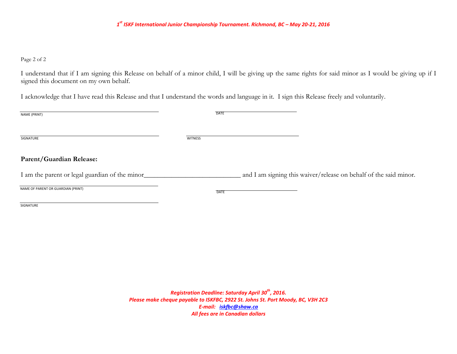Page 2 of 2

I understand that if I am signing this Release on behalf of a minor child, I will be giving up the same rights for said minor as I would be giving up if I signed this document on my own behalf.

I acknowledge that I have read this Release and that I understand the words and language in it. I sign this Release freely and voluntarily.

| NAME (PRINT)                                    | <b>DATE</b>    |                                                                   |
|-------------------------------------------------|----------------|-------------------------------------------------------------------|
| SIGNATURE                                       | <b>WITNESS</b> |                                                                   |
| Parent/Guardian Release:                        |                |                                                                   |
| I am the parent or legal guardian of the minor_ |                | and I am signing this waiver/release on behalf of the said minor. |
| NAME OF PARENT OR GUARDIAN (PRINT)              | <b>DATE</b>    |                                                                   |
| SIGNATURE                                       |                |                                                                   |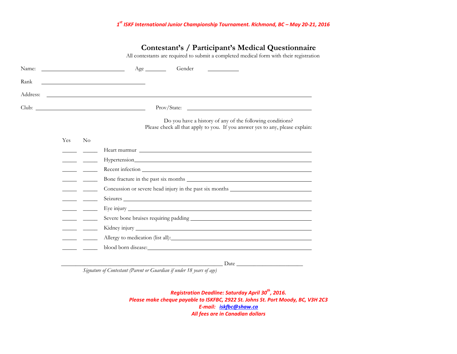## Contestant's / Participant's Medical Questionnaire

All contestants are required to submit a completed medical form with their registration

| Name: |     |          | Gender<br>$Age \_\_\_\_\_\$<br><u> 1989 - Johann Barn, fransk politik formuler (d. 1989)</u>                                                                                                                                   |
|-------|-----|----------|--------------------------------------------------------------------------------------------------------------------------------------------------------------------------------------------------------------------------------|
| Rank  |     |          | <u> 1989 - Johann Barbara, martin amerikan basar dan basa dan basa dan basa dalam basa dalam basa dalam basa dala</u>                                                                                                          |
|       |     |          |                                                                                                                                                                                                                                |
|       |     |          |                                                                                                                                                                                                                                |
|       |     |          | Do you have a history of any of the following conditions?<br>Please check all that apply to you. If you answer yes to any, please explain:                                                                                     |
|       | Yes | $\rm No$ |                                                                                                                                                                                                                                |
|       |     |          |                                                                                                                                                                                                                                |
|       |     |          |                                                                                                                                                                                                                                |
|       |     |          | Recent infection                                                                                                                                                                                                               |
|       |     |          |                                                                                                                                                                                                                                |
|       |     |          | Concussion or severe head injury in the past six months _________________________                                                                                                                                              |
|       |     |          |                                                                                                                                                                                                                                |
|       |     |          |                                                                                                                                                                                                                                |
|       |     |          |                                                                                                                                                                                                                                |
|       |     |          |                                                                                                                                                                                                                                |
|       |     |          | Allergy to medication (list all): Notice and the set of the set of the set of the set of the set of the set of the set of the set of the set of the set of the set of the set of the set of the set of the set of the set of t |
|       |     |          | blood born disease: the contract of the contract of the contract of the contract of the contract of the contract of the contract of the contract of the contract of the contract of the contract of the contract of the contra |
|       |     |          | Date                                                                                                                                                                                                                           |

Signature of Contestant (Parent or Guardian if under 18 years of age)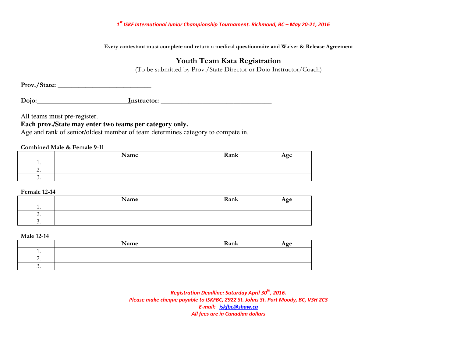Every contestant must complete and return a medical questionnaire and Waiver & Release Agreement

## Youth Team Kata Registration

(To be submitted by Prov./State Director or Dojo Instructor/Coach)

Prov./State: \_\_\_\_\_\_\_\_\_\_\_\_\_\_\_\_\_\_\_\_\_\_\_\_\_\_\_

Dojo: Instructor: \_\_\_\_\_\_\_\_\_\_\_\_\_\_\_\_\_\_\_\_\_\_\_\_\_\_\_\_\_\_\_\_

All teams must pre-register.

## **Each prov./State may enter two teams per category only.**

Age and rank of senior/oldest member of team determines category to compete in.

Combined Male & Female 9-11

|          | Name | Rank | $\mathbf{A}$ $\mathbf{A}$ |
|----------|------|------|---------------------------|
|          |      |      |                           |
| <u>.</u> |      |      |                           |
|          |      |      |                           |

Female 12-14

|          | Name | Rank | Aœe |
|----------|------|------|-----|
| $\cdot$  |      |      |     |
| <u>.</u> |      |      |     |
| .        |      |      |     |

Male 12-14

|          | Name | Rank | Age |
|----------|------|------|-----|
| . .      |      |      |     |
| <u>.</u> |      |      |     |
|          |      |      |     |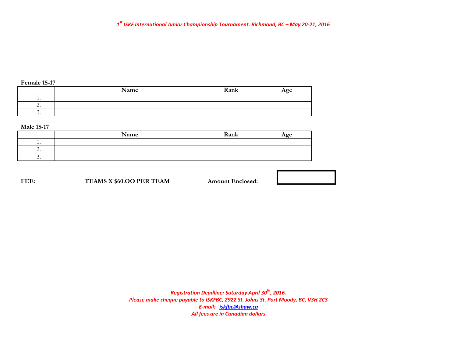#### Female 15-17

|                          | Name | Rank | Age |
|--------------------------|------|------|-----|
| . .                      |      |      |     |
| $\overline{\phantom{a}}$ |      |      |     |
| $\cdot$                  |      |      |     |

#### Male 15-17

|          | Name | Rank | Age |
|----------|------|------|-----|
|          |      |      |     |
| <u>.</u> |      |      |     |
|          |      |      |     |

FEE: TEAMS X \$60.OO PER TEAM Amount Enclosed:

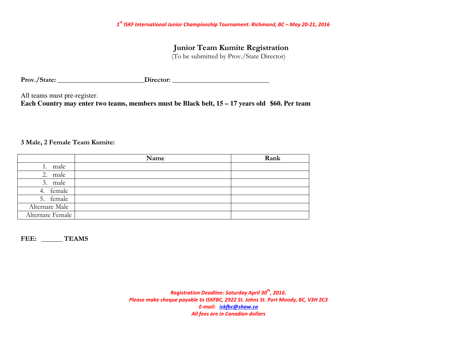Junior Team Kumite Registration

(To be submitted by Prov./State Director)

Prov./State: \_\_\_\_\_\_\_\_\_\_\_\_\_\_\_\_\_\_\_\_\_\_\_\_\_Director: \_\_\_\_\_\_\_\_\_\_\_\_\_\_\_\_\_\_\_\_\_\_\_\_\_\_\_\_\_\_\_\_

All teams must pre-register.

**Each Country may enter two teams, members must be Black belt, 15 – 17 years old \$60. Per team** 

#### 3 Male, 2 Female Team Kumite:

|                  | Name | Rank |
|------------------|------|------|
| male<br>1.       |      |      |
| 2. male          |      |      |
| 3. male          |      |      |
| 4. female        |      |      |
| 5. female        |      |      |
| Alternate Male   |      |      |
| Alternate Female |      |      |

FEE: TEAMS